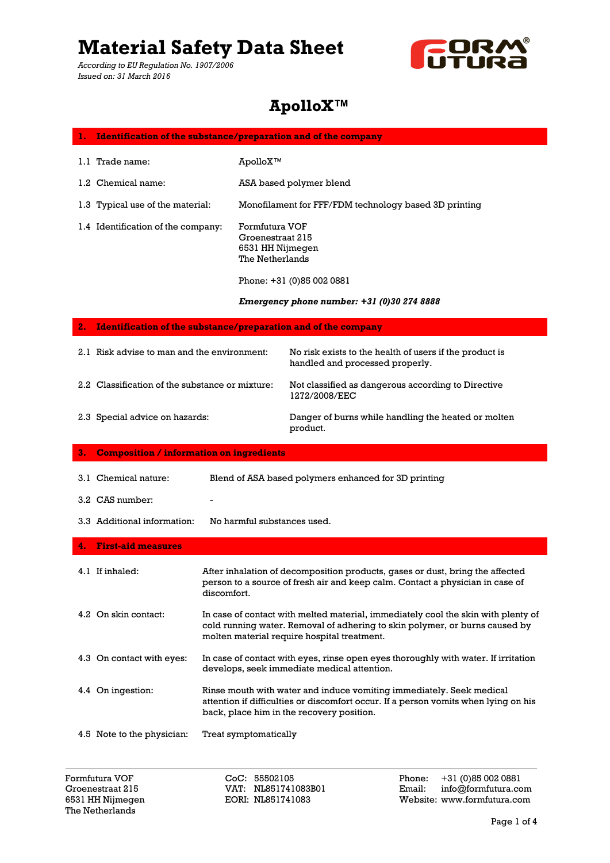*According to EU Regulation No. 1907/2006 Issued on: 31 March 2016*



### **ApolloX™**

| 1. Identification of the substance/preparation and of the company |                                                                           |                                                                                            |
|-------------------------------------------------------------------|---------------------------------------------------------------------------|--------------------------------------------------------------------------------------------|
| 1.1 Trade name:                                                   | ApolloX™                                                                  |                                                                                            |
| 1.2 Chemical name:                                                |                                                                           | ASA based polymer blend                                                                    |
| 1.3 Typical use of the material:                                  |                                                                           | Monofilament for FFF/FDM technology based 3D printing                                      |
| 1.4 Identification of the company:                                | Formfutura VOF<br>Groenestraat 215<br>6531 HH Nijmegen<br>The Netherlands |                                                                                            |
|                                                                   |                                                                           | Phone: +31 (0)85 002 0881                                                                  |
|                                                                   |                                                                           | Emergency phone number: $+31$ (0)30 274 8888                                               |
| 2. Identification of the substance/preparation and of the company |                                                                           |                                                                                            |
| 2.1 Risk advise to man and the environment:                       |                                                                           | No risk exists to the health of users if the product is<br>handled and processed properly. |

Not classified as dangerous according to Directive 1272/2008/EEC

2.3 Special advice on hazards:

2.2 Classification of the substance or mixture:

Danger of burns while handling the heated or molten product. **3. Composition / information on ingredients**

| 3.1 Chemical nature:        | Blend of ASA based polymers enhanced for 3D printing                                                                                                                          |
|-----------------------------|-------------------------------------------------------------------------------------------------------------------------------------------------------------------------------|
| 3.2 CAS number:             |                                                                                                                                                                               |
| 3.3 Additional information: | No harmful substances used.                                                                                                                                                   |
| 4. First-aid measures       |                                                                                                                                                                               |
| 4.1 If inhaled:             | After inhalation of decomposition products, gases or dust, bring the affected<br>person to a source of fresh air and keep calm. Contact a physician in case of<br>discomfort. |
| 4.2. On skin contact:       | In case of contact with melted material, immediately cool the skin with plenty of                                                                                             |

4.2 On skin contact: e of contact with melted material, immediately cool the skin with plent cold running water. Removal of adhering to skin polymer, or burns caused by molten material require hospital treatment.

4.3 On contact with eyes: In case of contact with eyes, rinse open eyes thoroughly with water. If irritation develops, seek immediate medical attention.

- 4.4 On ingestion: Rinse mouth with water and induce vomiting immediately. Seek medical attention if difficulties or discomfort occur. If a person vomits when lying on his back, place him in the recovery position.
- 4.5 Note to the physician: Treat symptomatically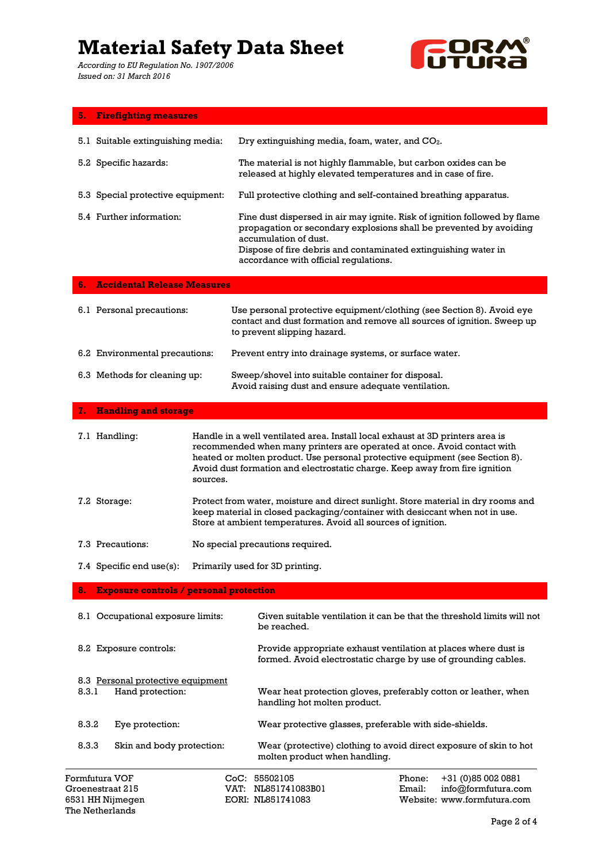*According to EU Regulation No. 1907/2006 Issued on: 31 March 2016*



| <b>Firefighting measures</b> | 5. |  |  |
|------------------------------|----|--|--|
|                              |    |  |  |

| 5.1 Suitable extinguishing media:     | Dry extinguishing media, foam, water, and $CO2$ .                                                                                                                                                                                                                                   |
|---------------------------------------|-------------------------------------------------------------------------------------------------------------------------------------------------------------------------------------------------------------------------------------------------------------------------------------|
| 5.2 Specific hazards:                 | The material is not highly flammable, but carbon oxides can be<br>released at highly elevated temperatures and in case of fire.                                                                                                                                                     |
| 5.3 Special protective equipment:     | Full protective clothing and self-contained breathing apparatus.                                                                                                                                                                                                                    |
| 5.4 Further information:              | Fine dust dispersed in air may ignite. Risk of ignition followed by flame<br>propagation or secondary explosions shall be prevented by avoiding<br>accumulation of dust.<br>Dispose of fire debris and contaminated extinguishing water in<br>accordance with official requlations. |
| <b>6.</b> Accidental Release Measures |                                                                                                                                                                                                                                                                                     |
| 6.1 Personal precautions:             | Use personal protective equipment/clothing (see Section 8). Avoid eye<br>contact and dust formation and remove all sources of ignition. Sweep up                                                                                                                                    |

|                                | to prevent slipping hazard.                                                                               |
|--------------------------------|-----------------------------------------------------------------------------------------------------------|
| 6.2 Environmental precautions: | Prevent entry into drainage systems, or surface water.                                                    |
| 6.3 Methods for cleaning up:   | Sweep/shovel into suitable container for disposal.<br>Avoid raising dust and ensure adequate ventilation. |

### **7. Handling and storage**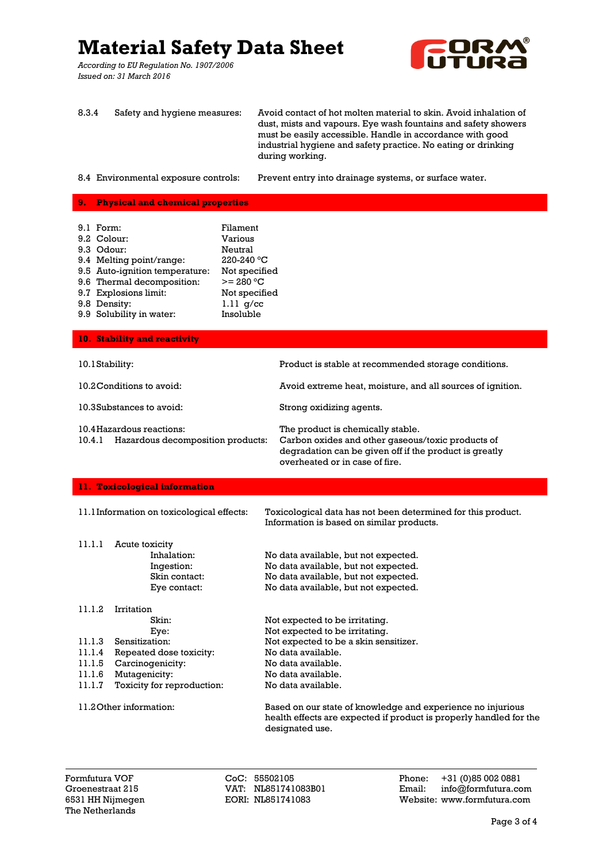*According to EU Regulation No. 1907/2006 Issued on: 31 March 2016*



8.3.4 Safety and hygiene measures: Avoid contact of hot molten material to skin. Avoid inhalation of dust, mists and vapours. Eye wash fountains and safety showers must be easily accessible. Handle in accordance with good industrial hygiene and safety practice. No eating or drinking during working.

8.4 Environmental exposure controls: Prevent entry into drainage systems, or surface water.

### **9. Physical and chemical properties**

| 9.1 Form:<br>9.2 Colour:<br>9.3 Odour:<br>9.4 Melting point/range:<br>9.5 Auto-ignition temperature:<br>9.6 Thermal decomposition:<br>9.7 Explosions limit:<br>9.8 Density:<br>9.9 Solubility in water: | Filament<br><b>Various</b><br>Neutral<br>220-240 °C<br>Not specified<br>$>= 280 °C$<br>Not specified<br>$1.11$ g/cc<br>Insoluble |                                                                                                                                                                                    |  |
|---------------------------------------------------------------------------------------------------------------------------------------------------------------------------------------------------------|----------------------------------------------------------------------------------------------------------------------------------|------------------------------------------------------------------------------------------------------------------------------------------------------------------------------------|--|
| 10. Stability and reactivity                                                                                                                                                                            |                                                                                                                                  |                                                                                                                                                                                    |  |
| 10.1 Stability:                                                                                                                                                                                         |                                                                                                                                  | Product is stable at recommended storage conditions.                                                                                                                               |  |
| 10.2 Conditions to avoid:                                                                                                                                                                               |                                                                                                                                  | Avoid extreme heat, moisture, and all sources of ignition.                                                                                                                         |  |
| 10.3Substances to avoid:                                                                                                                                                                                |                                                                                                                                  | Strong oxidizing agents.                                                                                                                                                           |  |
| 10.4 Hazardous reactions:<br>Hazardous decomposition products:<br>10.4.1                                                                                                                                |                                                                                                                                  | The product is chemically stable.<br>Carbon oxides and other gaseous/toxic products of<br>degradation can be given off if the product is greatly<br>overheated or in case of fire. |  |
| 11. Toxicological information                                                                                                                                                                           |                                                                                                                                  |                                                                                                                                                                                    |  |
| 11.1Information on toxicological effects:                                                                                                                                                               |                                                                                                                                  | Toxicological data has not been determined for this product.<br>Information is based on similar products.                                                                          |  |
| 11.1.1<br>Acute toxicity<br>Inhalation:<br>Ingestion:<br>Skin contact:<br>Eye contact:                                                                                                                  |                                                                                                                                  | No data available, but not expected.<br>No data available, but not expected.<br>No data available, but not expected.<br>No data available, but not expected.                       |  |

11.1.2 Irritation Skin: Eye: 11.1.3 Sensitization: 11.1.4 Repeated dose toxicity: 11.1.5 Carcinogenicity: 11.1.6 Mutagenicity: 11.1.7 Toxicity for reproduction: 11.2Other information: Not expected to be irritating. Not expected to be irritating. Not expected to be a skin sensitizer. No data available. No data available. No data available. No data available. Based on our state of knowledge and experience no injurious health effects are expected if product is properly handled for the

The Netherlands

VAT: NL851741083B01

designated use.

Formfutura VOF CoC: 55502105 Phone: +31 (0)85 002 0881 6531 HH Nijmegen EORI: NL851741083 Website: www.formfutura.com